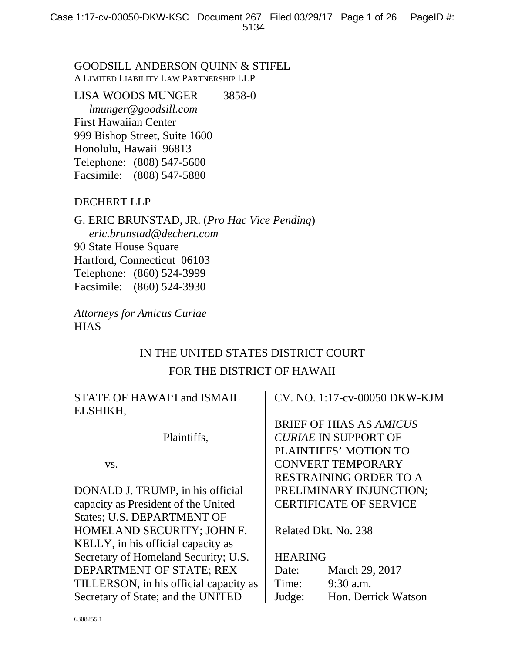# GOODSILL ANDERSON QUINN & STIFEL A LIMITED LIABILITY LAW PARTNERSHIP LLP

# LISA WOODS MUNGER 3858-0

 *lmunger@goodsill.com*  First Hawaiian Center 999 Bishop Street, Suite 1600 Honolulu, Hawaii 96813 Telephone: (808) 547-5600 Facsimile: (808) 547-5880

# DECHERT LLP

G. ERIC BRUNSTAD, JR. (*Pro Hac Vice Pending*) *eric.brunstad@dechert.com*  90 State House Square Hartford, Connecticut 06103 Telephone: (860) 524-3999 Facsimile: (860) 524-3930

*Attorneys for Amicus Curiae*  **HIAS** 

# IN THE UNITED STATES DISTRICT COURT FOR THE DISTRICT OF HAWAII

| STATE OF HAWAI'I and ISMAIL<br>ELSHIKH, | CV. NO. 1:17-cv-00050 DKW-KJM  |  |
|-----------------------------------------|--------------------------------|--|
|                                         | <b>BRIEF OF HIAS AS AMICUS</b> |  |
| Plaintiffs,                             | <b>CURIAE IN SUPPORT OF</b>    |  |
|                                         | PLAINTIFFS' MOTION TO          |  |
| VS.                                     | <b>CONVERT TEMPORARY</b>       |  |
|                                         | <b>RESTRAINING ORDER TO A</b>  |  |
| DONALD J. TRUMP, in his official        | PRELIMINARY INJUNCTION;        |  |
| capacity as President of the United     | <b>CERTIFICATE OF SERVICE</b>  |  |
| <b>States: U.S. DEPARTMENT OF</b>       |                                |  |
| HOMELAND SECURITY; JOHN F.              | Related Dkt. No. 238           |  |
| KELLY, in his official capacity as      |                                |  |
| Secretary of Homeland Security; U.S.    | <b>HEARING</b>                 |  |
| DEPARTMENT OF STATE; REX                | March 29, 2017<br>Date:        |  |
| TILLERSON, in his official capacity as  | $9:30$ a.m.<br>Time:           |  |
| Secretary of State; and the UNITED      | Hon. Derrick Watson<br>Judge:  |  |
|                                         |                                |  |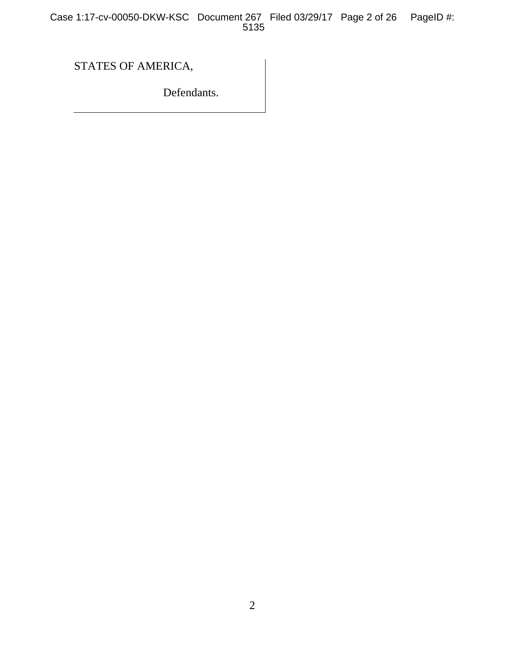Case 1:17-cv-00050-DKW-KSC Document 267 Filed 03/29/17 Page 2 of 26 PageID #: 5135

STATES OF AMERICA,

Defendants.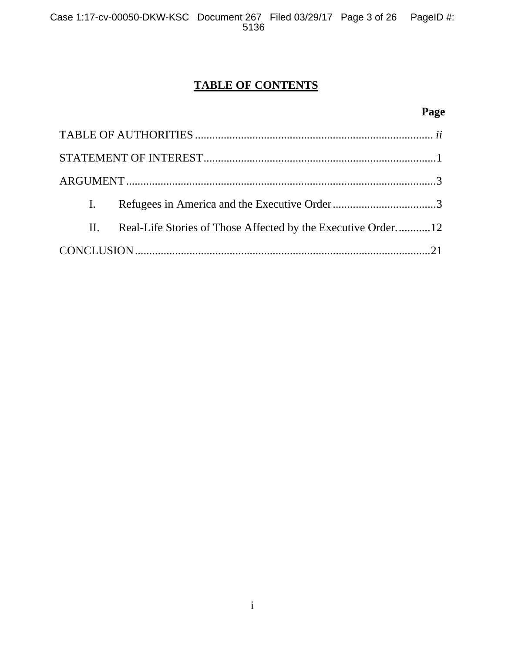# **TABLE OF CONTENTS**

# **Page**

| $\mathbf{I}$ . |                                                              |  |
|----------------|--------------------------------------------------------------|--|
| II.            | Real-Life Stories of Those Affected by the Executive Order12 |  |
|                |                                                              |  |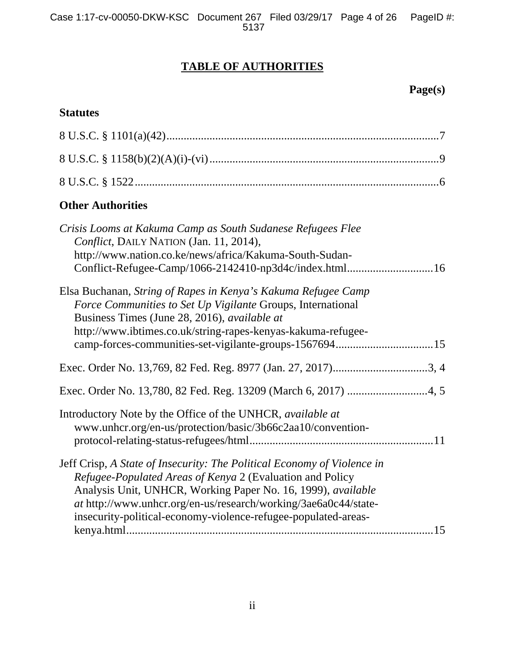# **TABLE OF AUTHORITIES**

# **Page(s)**

# **Statutes**

| <b>Other Authorities</b>                                                                                                                                                                                                                                                                                                                  |
|-------------------------------------------------------------------------------------------------------------------------------------------------------------------------------------------------------------------------------------------------------------------------------------------------------------------------------------------|
| Crisis Looms at Kakuma Camp as South Sudanese Refugees Flee<br>Conflict, DAILY NATION (Jan. 11, 2014),<br>http://www.nation.co.ke/news/africa/Kakuma-South-Sudan-<br>Conflict-Refugee-Camp/1066-2142410-np3d4c/index.html16                                                                                                               |
| Elsa Buchanan, String of Rapes in Kenya's Kakuma Refugee Camp<br>Force Communities to Set Up Vigilante Groups, International<br>Business Times (June 28, 2016), <i>available at</i><br>http://www.ibtimes.co.uk/string-rapes-kenyas-kakuma-refugee-                                                                                       |
|                                                                                                                                                                                                                                                                                                                                           |
|                                                                                                                                                                                                                                                                                                                                           |
| Introductory Note by the Office of the UNHCR, available at<br>www.unhcr.org/en-us/protection/basic/3b66c2aa10/convention-                                                                                                                                                                                                                 |
| Jeff Crisp, A State of Insecurity: The Political Economy of Violence in<br>Refugee-Populated Areas of Kenya 2 (Evaluation and Policy<br>Analysis Unit, UNHCR, Working Paper No. 16, 1999), available<br>at http://www.unhcr.org/en-us/research/working/3ae6a0c44/state-<br>insecurity-political-economy-violence-refugee-populated-areas- |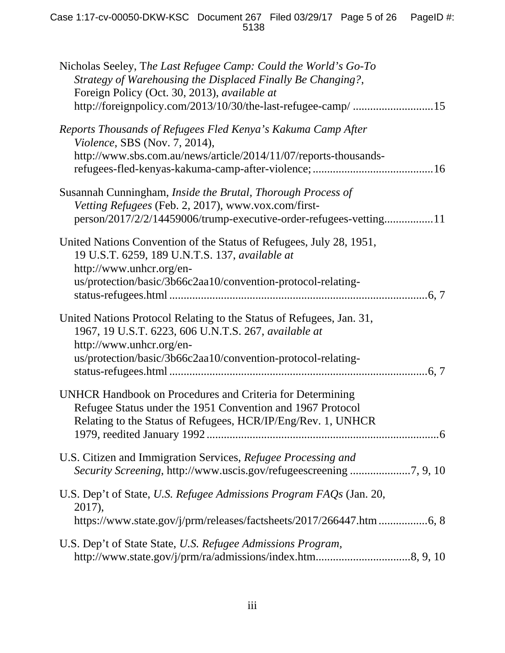| Nicholas Seeley, The Last Refugee Camp: Could the World's Go-To<br>Strategy of Warehousing the Displaced Finally Be Changing?,<br>Foreign Policy (Oct. 30, 2013), available at<br>http://foreignpolicy.com/2013/10/30/the-last-refugee-camp/ 15 |
|-------------------------------------------------------------------------------------------------------------------------------------------------------------------------------------------------------------------------------------------------|
| Reports Thousands of Refugees Fled Kenya's Kakuma Camp After<br><i>Violence</i> , SBS (Nov. 7, 2014),<br>http://www.sbs.com.au/news/article/2014/11/07/reports-thousands-                                                                       |
| Susannah Cunningham, <i>Inside the Brutal</i> , <i>Thorough Process of</i><br>Vetting Refugees (Feb. 2, 2017), www.vox.com/first-<br>person/2017/2/2/14459006/trump-executive-order-refugees-vetting11                                          |
| United Nations Convention of the Status of Refugees, July 28, 1951,<br>19 U.S.T. 6259, 189 U.N.T.S. 137, available at<br>http://www.unhcr.org/en-<br>us/protection/basic/3b66c2aa10/convention-protocol-relating-                               |
| United Nations Protocol Relating to the Status of Refugees, Jan. 31,<br>1967, 19 U.S.T. 6223, 606 U.N.T.S. 267, available at<br>http://www.unhcr.org/en-<br>us/protection/basic/3b66c2aa10/convention-protocol-relating-                        |
| <b>UNHCR Handbook on Procedures and Criteria for Determining</b><br>Refugee Status under the 1951 Convention and 1967 Protocol<br>Relating to the Status of Refugees, HCR/IP/Eng/Rev. 1, UNHCR                                                  |
| U.S. Citizen and Immigration Services, Refugee Processing and                                                                                                                                                                                   |
| U.S. Dep't of State, U.S. Refugee Admissions Program FAQs (Jan. 20,<br>2017),<br>https://www.state.gov/j/prm/releases/factsheets/2017/266447.htm 6, 8                                                                                           |
| U.S. Dep't of State State, U.S. Refugee Admissions Program,                                                                                                                                                                                     |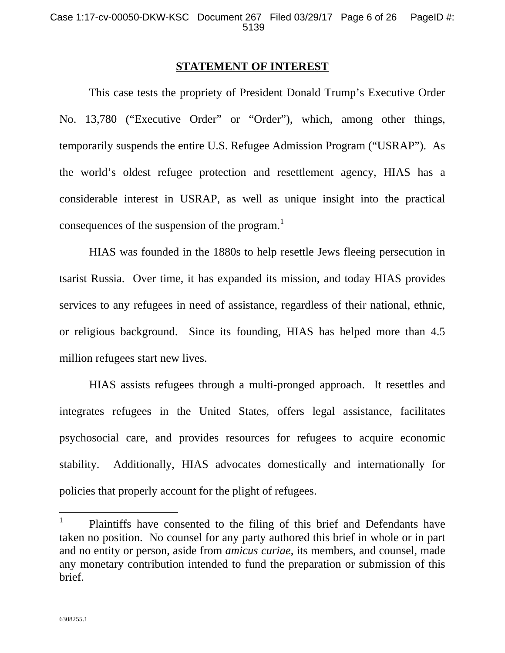## **STATEMENT OF INTEREST**

 This case tests the propriety of President Donald Trump's Executive Order No. 13,780 ("Executive Order" or "Order"), which, among other things, temporarily suspends the entire U.S. Refugee Admission Program ("USRAP"). As the world's oldest refugee protection and resettlement agency, HIAS has a considerable interest in USRAP, as well as unique insight into the practical consequences of the suspension of the program.<sup>1</sup>

 HIAS was founded in the 1880s to help resettle Jews fleeing persecution in tsarist Russia. Over time, it has expanded its mission, and today HIAS provides services to any refugees in need of assistance, regardless of their national, ethnic, or religious background. Since its founding, HIAS has helped more than 4.5 million refugees start new lives.

 HIAS assists refugees through a multi-pronged approach. It resettles and integrates refugees in the United States, offers legal assistance, facilitates psychosocial care, and provides resources for refugees to acquire economic stability. Additionally, HIAS advocates domestically and internationally for policies that properly account for the plight of refugees.

<sup>1</sup> Plaintiffs have consented to the filing of this brief and Defendants have taken no position. No counsel for any party authored this brief in whole or in part and no entity or person, aside from *amicus curiae*, its members, and counsel, made any monetary contribution intended to fund the preparation or submission of this brief.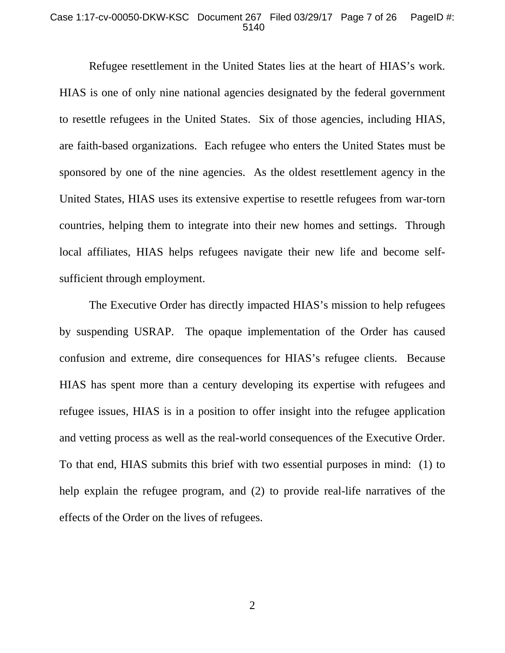#### Case 1:17-cv-00050-DKW-KSC Document 267 Filed 03/29/17 Page 7 of 26 PageID #: 5140

 Refugee resettlement in the United States lies at the heart of HIAS's work. HIAS is one of only nine national agencies designated by the federal government to resettle refugees in the United States. Six of those agencies, including HIAS, are faith-based organizations. Each refugee who enters the United States must be sponsored by one of the nine agencies. As the oldest resettlement agency in the United States, HIAS uses its extensive expertise to resettle refugees from war-torn countries, helping them to integrate into their new homes and settings. Through local affiliates, HIAS helps refugees navigate their new life and become selfsufficient through employment.

 The Executive Order has directly impacted HIAS's mission to help refugees by suspending USRAP. The opaque implementation of the Order has caused confusion and extreme, dire consequences for HIAS's refugee clients. Because HIAS has spent more than a century developing its expertise with refugees and refugee issues, HIAS is in a position to offer insight into the refugee application and vetting process as well as the real-world consequences of the Executive Order. To that end, HIAS submits this brief with two essential purposes in mind: (1) to help explain the refugee program, and (2) to provide real-life narratives of the effects of the Order on the lives of refugees.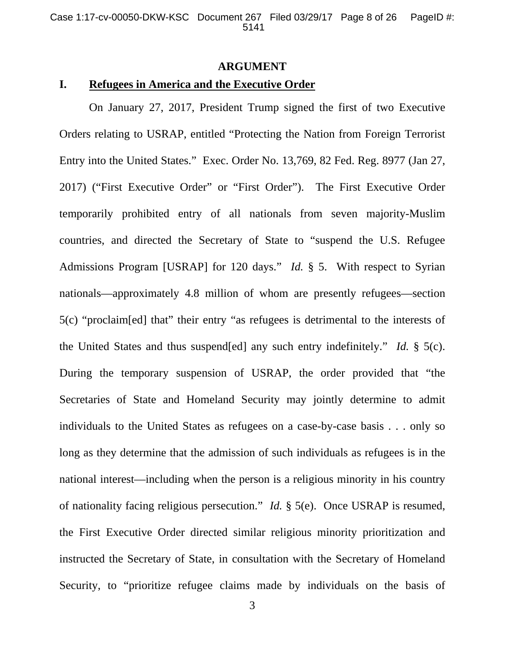## **ARGUMENT**

# **I. Refugees in America and the Executive Order**

On January 27, 2017, President Trump signed the first of two Executive Orders relating to USRAP, entitled "Protecting the Nation from Foreign Terrorist Entry into the United States." Exec. Order No. 13,769, 82 Fed. Reg. 8977 (Jan 27, 2017) ("First Executive Order" or "First Order"). The First Executive Order temporarily prohibited entry of all nationals from seven majority-Muslim countries, and directed the Secretary of State to "suspend the U.S. Refugee Admissions Program [USRAP] for 120 days." *Id.* § 5. With respect to Syrian nationals—approximately 4.8 million of whom are presently refugees—section 5(c) "proclaim[ed] that" their entry "as refugees is detrimental to the interests of the United States and thus suspend[ed] any such entry indefinitely." *Id.* § 5(c). During the temporary suspension of USRAP, the order provided that "the Secretaries of State and Homeland Security may jointly determine to admit individuals to the United States as refugees on a case-by-case basis . . . only so long as they determine that the admission of such individuals as refugees is in the national interest—including when the person is a religious minority in his country of nationality facing religious persecution." *Id.* § 5(e). Once USRAP is resumed, the First Executive Order directed similar religious minority prioritization and instructed the Secretary of State, in consultation with the Secretary of Homeland Security, to "prioritize refugee claims made by individuals on the basis of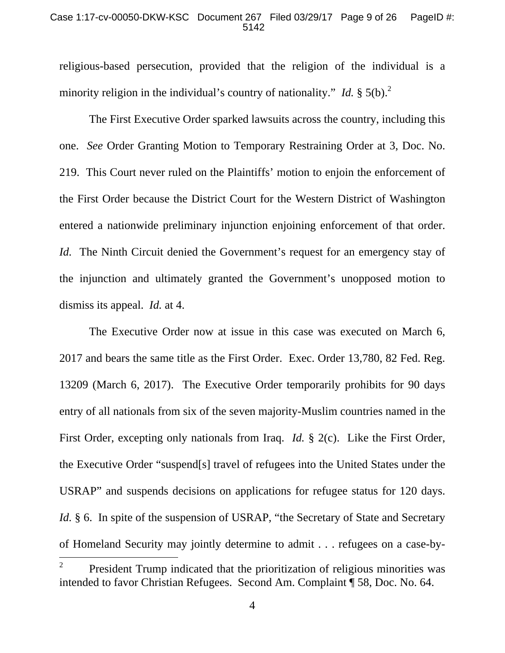### Case 1:17-cv-00050-DKW-KSC Document 267 Filed 03/29/17 Page 9 of 26 PageID #: 5142

religious-based persecution, provided that the religion of the individual is a minority religion in the individual's country of nationality." *Id.*  $\S 5(b)$ .<sup>2</sup>

The First Executive Order sparked lawsuits across the country, including this one. *See* Order Granting Motion to Temporary Restraining Order at 3, Doc. No. 219. This Court never ruled on the Plaintiffs' motion to enjoin the enforcement of the First Order because the District Court for the Western District of Washington entered a nationwide preliminary injunction enjoining enforcement of that order. *Id.* The Ninth Circuit denied the Government's request for an emergency stay of the injunction and ultimately granted the Government's unopposed motion to dismiss its appeal. *Id.* at 4.

The Executive Order now at issue in this case was executed on March 6, 2017 and bears the same title as the First Order. Exec. Order 13,780, 82 Fed. Reg. 13209 (March 6, 2017). The Executive Order temporarily prohibits for 90 days entry of all nationals from six of the seven majority-Muslim countries named in the First Order, excepting only nationals from Iraq. *Id.* § 2(c). Like the First Order, the Executive Order "suspend[s] travel of refugees into the United States under the USRAP" and suspends decisions on applications for refugee status for 120 days. *Id.* § 6. In spite of the suspension of USRAP, "the Secretary of State and Secretary of Homeland Security may jointly determine to admit . . . refugees on a case-by-  $\overline{a}$ 

<sup>2</sup> President Trump indicated that the prioritization of religious minorities was intended to favor Christian Refugees. Second Am. Complaint ¶ 58, Doc. No. 64.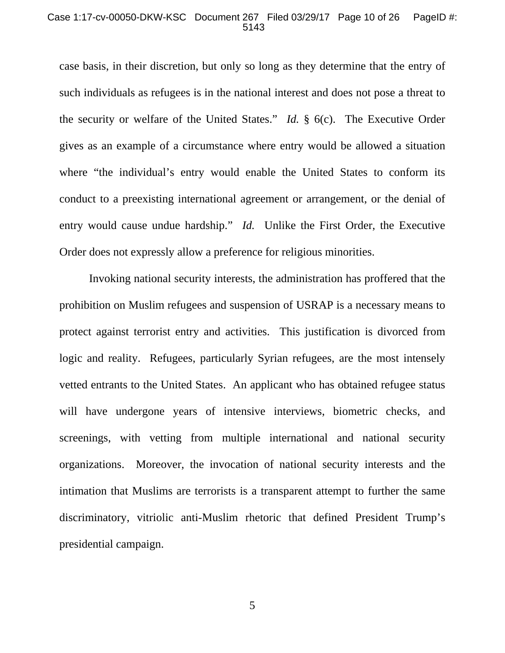#### Case 1:17-cv-00050-DKW-KSC Document 267 Filed 03/29/17 Page 10 of 26 PageID #: 5143

case basis, in their discretion, but only so long as they determine that the entry of such individuals as refugees is in the national interest and does not pose a threat to the security or welfare of the United States." *Id.* § 6(c). The Executive Order gives as an example of a circumstance where entry would be allowed a situation where "the individual's entry would enable the United States to conform its conduct to a preexisting international agreement or arrangement, or the denial of entry would cause undue hardship." *Id.* Unlike the First Order, the Executive Order does not expressly allow a preference for religious minorities.

Invoking national security interests, the administration has proffered that the prohibition on Muslim refugees and suspension of USRAP is a necessary means to protect against terrorist entry and activities. This justification is divorced from logic and reality. Refugees, particularly Syrian refugees, are the most intensely vetted entrants to the United States. An applicant who has obtained refugee status will have undergone years of intensive interviews, biometric checks, and screenings, with vetting from multiple international and national security organizations. Moreover, the invocation of national security interests and the intimation that Muslims are terrorists is a transparent attempt to further the same discriminatory, vitriolic anti-Muslim rhetoric that defined President Trump's presidential campaign.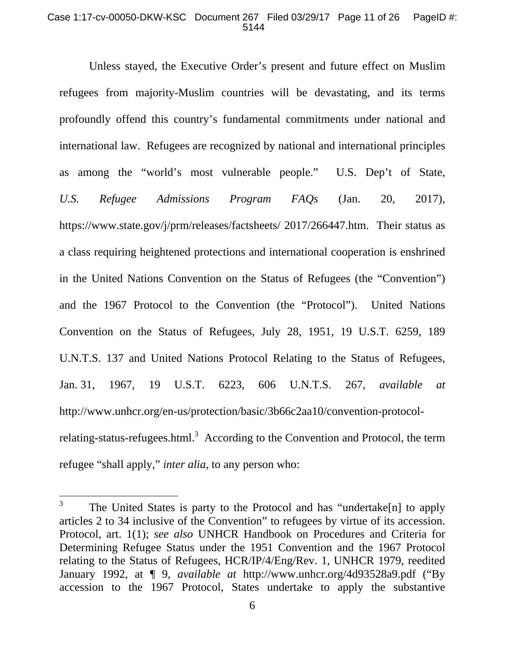## Case 1:17-cv-00050-DKW-KSC Document 267 Filed 03/29/17 Page 11 of 26 PageID #: 5144

Unless stayed, the Executive Order's present and future effect on Muslim refugees from majority-Muslim countries will be devastating, and its terms profoundly offend this country's fundamental commitments under national and international law. Refugees are recognized by national and international principles as among the "world's most vulnerable people." U.S. Dep't of State, *U.S. Refugee Admissions Program FAQs* (Jan. 20, 2017), https://www.state.gov/j/prm/releases/factsheets/ 2017/266447.htm. Their status as a class requiring heightened protections and international cooperation is enshrined in the United Nations Convention on the Status of Refugees (the "Convention") and the 1967 Protocol to the Convention (the "Protocol"). United Nations Convention on the Status of Refugees, July 28, 1951, 19 U.S.T. 6259, 189 U.N.T.S. 137 and United Nations Protocol Relating to the Status of Refugees, Jan. 31, 1967, 19 U.S.T. 6223, 606 U.N.T.S. 267, *available at* http://www.unhcr.org/en-us/protection/basic/3b66c2aa10/convention-protocolrelating-status-refugees.html.<sup>3</sup> According to the Convention and Protocol, the term refugee "shall apply," *inter alia*, to any person who:

<sup>3</sup> The United States is party to the Protocol and has "undertake[n] to apply articles 2 to 34 inclusive of the Convention" to refugees by virtue of its accession. Protocol, art. 1(1); *see also* UNHCR Handbook on Procedures and Criteria for Determining Refugee Status under the 1951 Convention and the 1967 Protocol relating to the Status of Refugees, HCR/IP/4/Eng/Rev. 1, UNHCR 1979, reedited January 1992, at ¶ 9, *available at* http://www.unhcr.org/4d93528a9.pdf ("By accession to the 1967 Protocol, States undertake to apply the substantive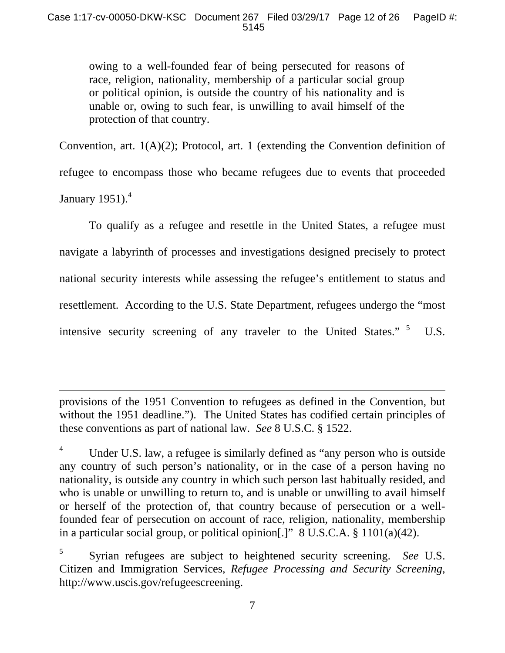owing to a well-founded fear of being persecuted for reasons of race, religion, nationality, membership of a particular social group or political opinion, is outside the country of his nationality and is unable or, owing to such fear, is unwilling to avail himself of the protection of that country.

Convention, art. 1(A)(2); Protocol, art. 1 (extending the Convention definition of refugee to encompass those who became refugees due to events that proceeded January 1951). $4$ 

 To qualify as a refugee and resettle in the United States, a refugee must navigate a labyrinth of processes and investigations designed precisely to protect national security interests while assessing the refugee's entitlement to status and resettlement. According to the U.S. State Department, refugees undergo the "most intensive security screening of any traveler to the United States."  $5$  U.S.

provisions of the 1951 Convention to refugees as defined in the Convention, but without the 1951 deadline."). The United States has codified certain principles of these conventions as part of national law. *See* 8 U.S.C. § 1522.

 $\overline{a}$ 

4 Under U.S. law, a refugee is similarly defined as "any person who is outside any country of such person's nationality, or in the case of a person having no nationality, is outside any country in which such person last habitually resided, and who is unable or unwilling to return to, and is unable or unwilling to avail himself or herself of the protection of, that country because of persecution or a wellfounded fear of persecution on account of race, religion, nationality, membership in a particular social group, or political opinion[.]" 8 U.S.C.A. § 1101(a)(42).

5 Syrian refugees are subject to heightened security screening. *See* U.S. Citizen and Immigration Services, *Refugee Processing and Security Screening*, http://www.uscis.gov/refugeescreening.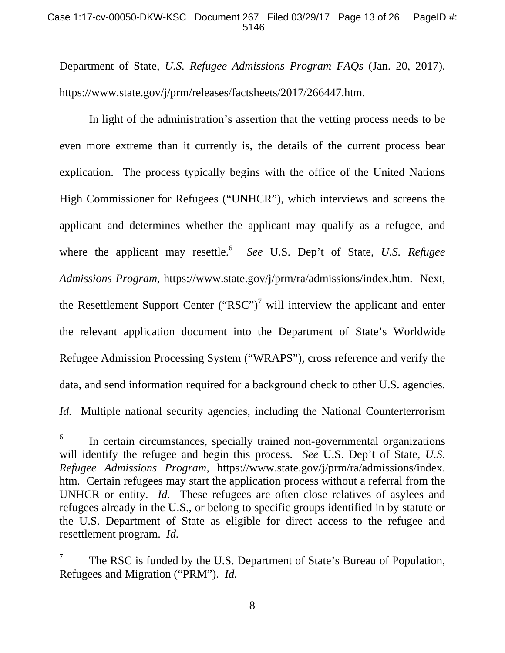## Case 1:17-cv-00050-DKW-KSC Document 267 Filed 03/29/17 Page 13 of 26 PageID #: 5146

Department of State, *U.S. Refugee Admissions Program FAQs* (Jan. 20, 2017), https://www.state.gov/j/prm/releases/factsheets/2017/266447.htm.

 In light of the administration's assertion that the vetting process needs to be even more extreme than it currently is, the details of the current process bear explication. The process typically begins with the office of the United Nations High Commissioner for Refugees ("UNHCR"), which interviews and screens the applicant and determines whether the applicant may qualify as a refugee, and where the applicant may resettle.<sup>6</sup> *See* U.S. Dep't of State, *U.S. Refugee Admissions Program,* https://www.state.gov/j/prm/ra/admissions/index.htm. Next, the Resettlement Support Center ("RSC")<sup>7</sup> will interview the applicant and enter the relevant application document into the Department of State's Worldwide Refugee Admission Processing System ("WRAPS"), cross reference and verify the data, and send information required for a background check to other U.S. agencies. *Id.* Multiple national security agencies, including the National Counterterrorism

<sup>6</sup> In certain circumstances, specially trained non-governmental organizations will identify the refugee and begin this process. *See* U.S. Dep't of State, *U.S. Refugee Admissions Program,* https://www.state.gov/j/prm/ra/admissions/index. htm. Certain refugees may start the application process without a referral from the UNHCR or entity. *Id.* These refugees are often close relatives of asylees and refugees already in the U.S., or belong to specific groups identified in by statute or the U.S. Department of State as eligible for direct access to the refugee and resettlement program. *Id.* 

<sup>7</sup> The RSC is funded by the U.S. Department of State's Bureau of Population, Refugees and Migration ("PRM"). *Id.*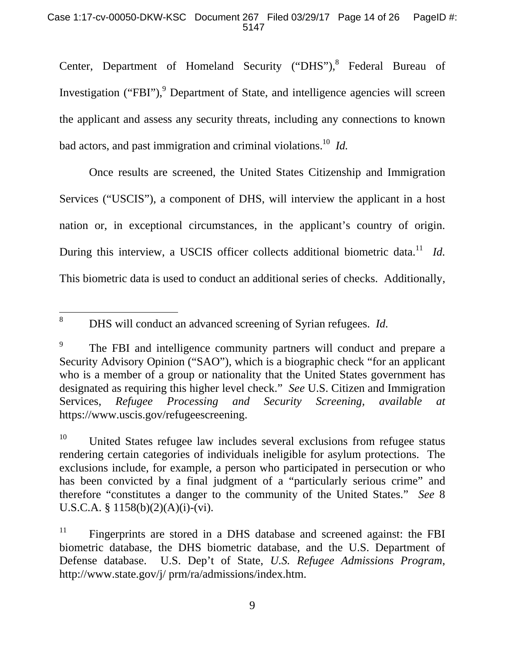## Case 1:17-cv-00050-DKW-KSC Document 267 Filed 03/29/17 Page 14 of 26 PageID #: 5147

Center, Department of Homeland Security ("DHS"),<sup>8</sup> Federal Bureau of Investigation ("FBI"),<sup>9</sup> Department of State, and intelligence agencies will screen the applicant and assess any security threats, including any connections to known bad actors, and past immigration and criminal violations.10 *Id.* 

 Once results are screened, the United States Citizenship and Immigration Services ("USCIS"), a component of DHS, will interview the applicant in a host nation or, in exceptional circumstances, in the applicant's country of origin. During this interview, a USCIS officer collects additional biometric data.<sup>11</sup> *Id.* This biometric data is used to conduct an additional series of checks. Additionally,

 $\overline{a}$ 8 DHS will conduct an advanced screening of Syrian refugees. *Id.* 

<sup>9</sup> The FBI and intelligence community partners will conduct and prepare a Security Advisory Opinion ("SAO"), which is a biographic check "for an applicant who is a member of a group or nationality that the United States government has designated as requiring this higher level check." *See* U.S. Citizen and Immigration Services, *Refugee Processing and Security Screening, available at* https://www.uscis.gov/refugeescreening.

 $10$  United States refugee law includes several exclusions from refugee status rendering certain categories of individuals ineligible for asylum protections. The exclusions include, for example, a person who participated in persecution or who has been convicted by a final judgment of a "particularly serious crime" and therefore "constitutes a danger to the community of the United States." *See* 8 U.S.C.A. § 1158(b)(2)(A)(i)-(vi).

 $11$  Fingerprints are stored in a DHS database and screened against: the FBI biometric database, the DHS biometric database, and the U.S. Department of Defense database. U.S. Dep't of State, *U.S. Refugee Admissions Program*, http://www.state.gov/j/ prm/ra/admissions/index.htm.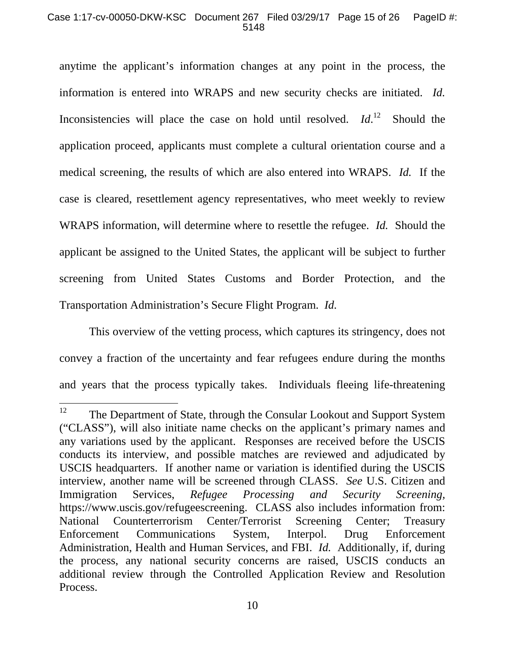## Case 1:17-cv-00050-DKW-KSC Document 267 Filed 03/29/17 Page 15 of 26 PageID #: 5148

anytime the applicant's information changes at any point in the process, the information is entered into WRAPS and new security checks are initiated. *Id.* Inconsistencies will place the case on hold until resolved. *Id*. Should the application proceed, applicants must complete a cultural orientation course and a medical screening, the results of which are also entered into WRAPS. *Id.* If the case is cleared, resettlement agency representatives, who meet weekly to review WRAPS information, will determine where to resettle the refugee. *Id.* Should the applicant be assigned to the United States, the applicant will be subject to further screening from United States Customs and Border Protection, and the Transportation Administration's Secure Flight Program. *Id.*

This overview of the vetting process, which captures its stringency, does not convey a fraction of the uncertainty and fear refugees endure during the months and years that the process typically takes. Individuals fleeing life-threatening

<sup>12</sup> The Department of State, through the Consular Lookout and Support System ("CLASS"), will also initiate name checks on the applicant's primary names and any variations used by the applicant. Responses are received before the USCIS conducts its interview, and possible matches are reviewed and adjudicated by USCIS headquarters. If another name or variation is identified during the USCIS interview, another name will be screened through CLASS. *See* U.S. Citizen and Immigration Services, *Refugee Processing and Security Screening,* https://www.uscis.gov/refugeescreening. CLASS also includes information from: National Counterterrorism Center/Terrorist Screening Center; Treasury Enforcement Communications System, Interpol. Drug Enforcement Administration, Health and Human Services, and FBI. *Id.* Additionally, if, during the process, any national security concerns are raised, USCIS conducts an additional review through the Controlled Application Review and Resolution Process.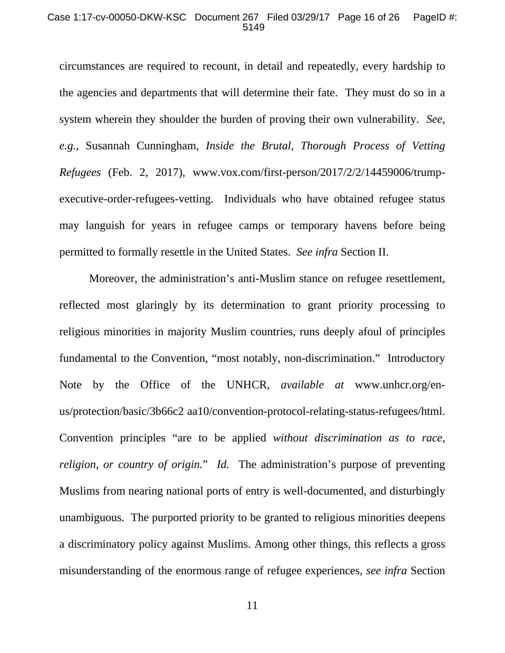### Case 1:17-cv-00050-DKW-KSC Document 267 Filed 03/29/17 Page 16 of 26 PageID #: 5149

circumstances are required to recount, in detail and repeatedly, every hardship to the agencies and departments that will determine their fate. They must do so in a system wherein they shoulder the burden of proving their own vulnerability. *See, e.g.*, Susannah Cunningham, *Inside the Brutal, Thorough Process of Vetting Refugees* (Feb. 2, 2017), www.vox.com/first-person/2017/2/2/14459006/trumpexecutive-order-refugees-vetting. Individuals who have obtained refugee status may languish for years in refugee camps or temporary havens before being permitted to formally resettle in the United States. *See infra* Section II.

Moreover, the administration's anti-Muslim stance on refugee resettlement, reflected most glaringly by its determination to grant priority processing to religious minorities in majority Muslim countries, runs deeply afoul of principles fundamental to the Convention, "most notably, non-discrimination." Introductory Note by the Office of the UNHCR, *available at* www.unhcr.org/enus/protection/basic/3b66c2 aa10/convention-protocol-relating-status-refugees/html. Convention principles "are to be applied *without discrimination as to race, religion, or country of origin.*" *Id.* The administration's purpose of preventing Muslims from nearing national ports of entry is well-documented, and disturbingly unambiguous. The purported priority to be granted to religious minorities deepens a discriminatory policy against Muslims. Among other things, this reflects a gross misunderstanding of the enormous range of refugee experiences, *see infra* Section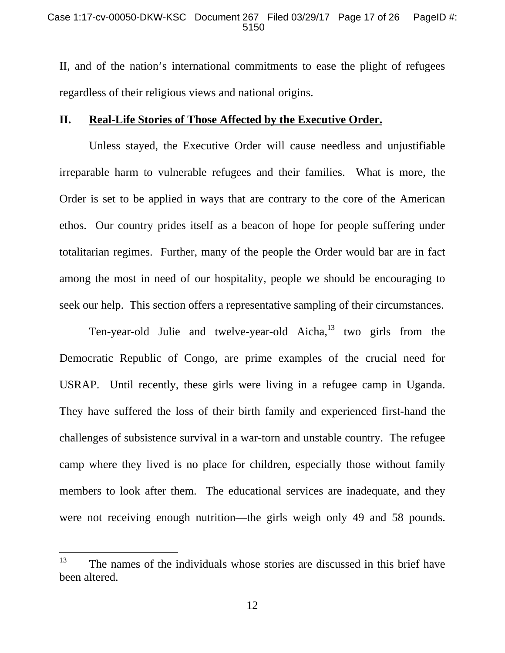II, and of the nation's international commitments to ease the plight of refugees regardless of their religious views and national origins.

## **II. Real-Life Stories of Those Affected by the Executive Order.**

Unless stayed, the Executive Order will cause needless and unjustifiable irreparable harm to vulnerable refugees and their families. What is more, the Order is set to be applied in ways that are contrary to the core of the American ethos. Our country prides itself as a beacon of hope for people suffering under totalitarian regimes. Further, many of the people the Order would bar are in fact among the most in need of our hospitality, people we should be encouraging to seek our help. This section offers a representative sampling of their circumstances.

Ten-year-old Julie and twelve-year-old Aicha, $^{13}$  two girls from the Democratic Republic of Congo, are prime examples of the crucial need for USRAP. Until recently, these girls were living in a refugee camp in Uganda. They have suffered the loss of their birth family and experienced first-hand the challenges of subsistence survival in a war-torn and unstable country. The refugee camp where they lived is no place for children, especially those without family members to look after them. The educational services are inadequate, and they were not receiving enough nutrition—the girls weigh only 49 and 58 pounds.

 $13$  The names of the individuals whose stories are discussed in this brief have been altered.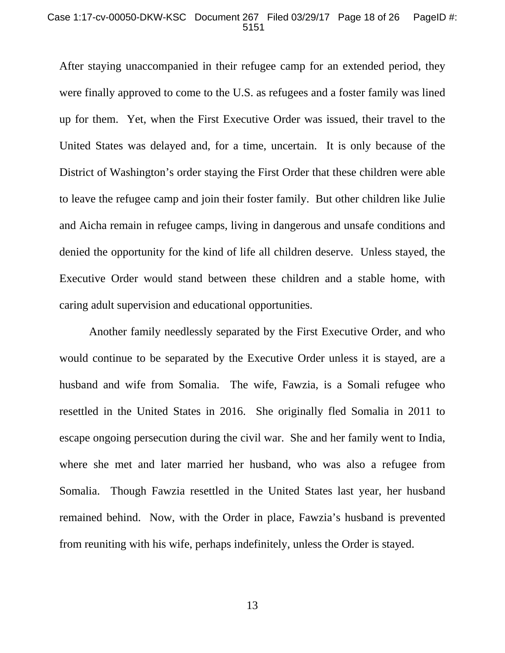### Case 1:17-cv-00050-DKW-KSC Document 267 Filed 03/29/17 Page 18 of 26 PageID #: 5151

After staying unaccompanied in their refugee camp for an extended period, they were finally approved to come to the U.S. as refugees and a foster family was lined up for them. Yet, when the First Executive Order was issued, their travel to the United States was delayed and, for a time, uncertain. It is only because of the District of Washington's order staying the First Order that these children were able to leave the refugee camp and join their foster family. But other children like Julie and Aicha remain in refugee camps, living in dangerous and unsafe conditions and denied the opportunity for the kind of life all children deserve. Unless stayed, the Executive Order would stand between these children and a stable home, with caring adult supervision and educational opportunities.

 Another family needlessly separated by the First Executive Order, and who would continue to be separated by the Executive Order unless it is stayed, are a husband and wife from Somalia. The wife, Fawzia, is a Somali refugee who resettled in the United States in 2016. She originally fled Somalia in 2011 to escape ongoing persecution during the civil war. She and her family went to India, where she met and later married her husband, who was also a refugee from Somalia. Though Fawzia resettled in the United States last year, her husband remained behind. Now, with the Order in place, Fawzia's husband is prevented from reuniting with his wife, perhaps indefinitely, unless the Order is stayed.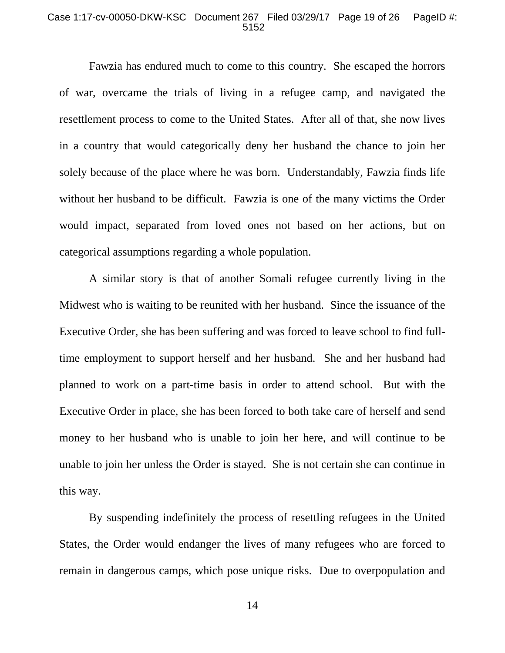#### Case 1:17-cv-00050-DKW-KSC Document 267 Filed 03/29/17 Page 19 of 26 PageID #: 5152

Fawzia has endured much to come to this country. She escaped the horrors of war, overcame the trials of living in a refugee camp, and navigated the resettlement process to come to the United States. After all of that, she now lives in a country that would categorically deny her husband the chance to join her solely because of the place where he was born. Understandably, Fawzia finds life without her husband to be difficult. Fawzia is one of the many victims the Order would impact, separated from loved ones not based on her actions, but on categorical assumptions regarding a whole population.

A similar story is that of another Somali refugee currently living in the Midwest who is waiting to be reunited with her husband. Since the issuance of the Executive Order, she has been suffering and was forced to leave school to find fulltime employment to support herself and her husband. She and her husband had planned to work on a part-time basis in order to attend school. But with the Executive Order in place, she has been forced to both take care of herself and send money to her husband who is unable to join her here, and will continue to be unable to join her unless the Order is stayed. She is not certain she can continue in this way.

 By suspending indefinitely the process of resettling refugees in the United States, the Order would endanger the lives of many refugees who are forced to remain in dangerous camps, which pose unique risks. Due to overpopulation and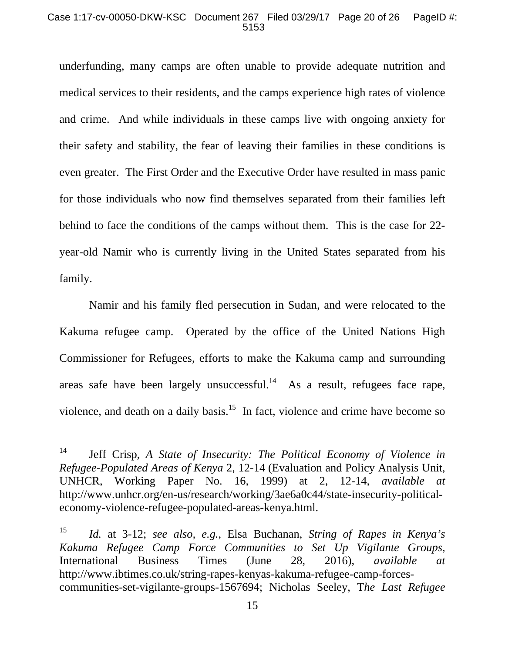### Case 1:17-cv-00050-DKW-KSC Document 267 Filed 03/29/17 Page 20 of 26 PageID #: 5153

underfunding, many camps are often unable to provide adequate nutrition and medical services to their residents, and the camps experience high rates of violence and crime. And while individuals in these camps live with ongoing anxiety for their safety and stability, the fear of leaving their families in these conditions is even greater. The First Order and the Executive Order have resulted in mass panic for those individuals who now find themselves separated from their families left behind to face the conditions of the camps without them. This is the case for 22 year-old Namir who is currently living in the United States separated from his family.

Namir and his family fled persecution in Sudan, and were relocated to the Kakuma refugee camp. Operated by the office of the United Nations High Commissioner for Refugees, efforts to make the Kakuma camp and surrounding areas safe have been largely unsuccessful.<sup>14</sup> As a result, refugees face rape, violence, and death on a daily basis.<sup>15</sup> In fact, violence and crime have become so

 $14$ 14 Jeff Crisp, *A State of Insecurity: The Political Economy of Violence in Refugee-Populated Areas of Kenya* 2, 12-14 (Evaluation and Policy Analysis Unit, UNHCR, Working Paper No. 16, 1999) at 2, 12-14, *available at* http://www.unhcr.org/en-us/research/working/3ae6a0c44/state-insecurity-politicaleconomy-violence-refugee-populated-areas-kenya.html.

<sup>15</sup> *Id.* at 3-12; *see also, e.g.*, Elsa Buchanan, *String of Rapes in Kenya's Kakuma Refugee Camp Force Communities to Set Up Vigilante Groups*, International Business Times (June 28, 2016), *available at* http://www.ibtimes.co.uk/string-rapes-kenyas-kakuma-refugee-camp-forcescommunities-set-vigilante-groups-1567694; Nicholas Seeley, T*he Last Refugee*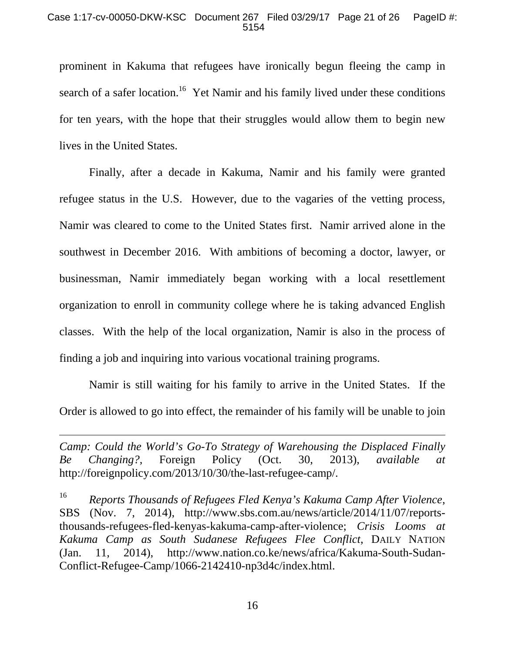prominent in Kakuma that refugees have ironically begun fleeing the camp in search of a safer location.<sup>16</sup> Yet Namir and his family lived under these conditions for ten years, with the hope that their struggles would allow them to begin new lives in the United States.

 Finally, after a decade in Kakuma, Namir and his family were granted refugee status in the U.S. However, due to the vagaries of the vetting process, Namir was cleared to come to the United States first. Namir arrived alone in the southwest in December 2016. With ambitions of becoming a doctor, lawyer, or businessman, Namir immediately began working with a local resettlement organization to enroll in community college where he is taking advanced English classes. With the help of the local organization, Namir is also in the process of finding a job and inquiring into various vocational training programs.

 Namir is still waiting for his family to arrive in the United States. If the Order is allowed to go into effect, the remainder of his family will be unable to join

*Camp: Could the World's Go-To Strategy of Warehousing the Displaced Finally Be Changing?*, Foreign Policy (Oct. 30, 2013), *available at* http://foreignpolicy.com/2013/10/30/the-last-refugee-camp/.

<sup>16</sup> *Reports Thousands of Refugees Fled Kenya's Kakuma Camp After Violence*, SBS (Nov. 7, 2014), http://www.sbs.com.au/news/article/2014/11/07/reportsthousands-refugees-fled-kenyas-kakuma-camp-after-violence; *Crisis Looms at Kakuma Camp as South Sudanese Refugees Flee Conflict*, DAILY NATION (Jan. 11, 2014), http://www.nation.co.ke/news/africa/Kakuma-South-Sudan-Conflict-Refugee-Camp/1066-2142410-np3d4c/index.html.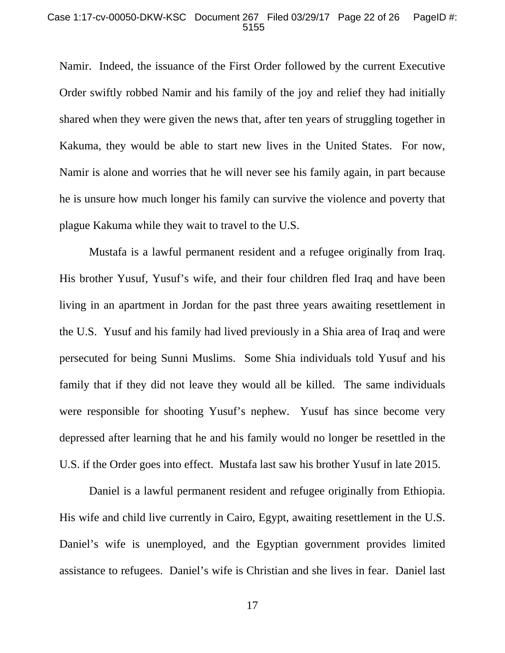#### Case 1:17-cv-00050-DKW-KSC Document 267 Filed 03/29/17 Page 22 of 26 PageID #: 5155

Namir. Indeed, the issuance of the First Order followed by the current Executive Order swiftly robbed Namir and his family of the joy and relief they had initially shared when they were given the news that, after ten years of struggling together in Kakuma, they would be able to start new lives in the United States. For now, Namir is alone and worries that he will never see his family again, in part because he is unsure how much longer his family can survive the violence and poverty that plague Kakuma while they wait to travel to the U.S.

Mustafa is a lawful permanent resident and a refugee originally from Iraq. His brother Yusuf, Yusuf's wife, and their four children fled Iraq and have been living in an apartment in Jordan for the past three years awaiting resettlement in the U.S. Yusuf and his family had lived previously in a Shia area of Iraq and were persecuted for being Sunni Muslims. Some Shia individuals told Yusuf and his family that if they did not leave they would all be killed. The same individuals were responsible for shooting Yusuf's nephew. Yusuf has since become very depressed after learning that he and his family would no longer be resettled in the U.S. if the Order goes into effect. Mustafa last saw his brother Yusuf in late 2015.

Daniel is a lawful permanent resident and refugee originally from Ethiopia. His wife and child live currently in Cairo, Egypt, awaiting resettlement in the U.S. Daniel's wife is unemployed, and the Egyptian government provides limited assistance to refugees. Daniel's wife is Christian and she lives in fear. Daniel last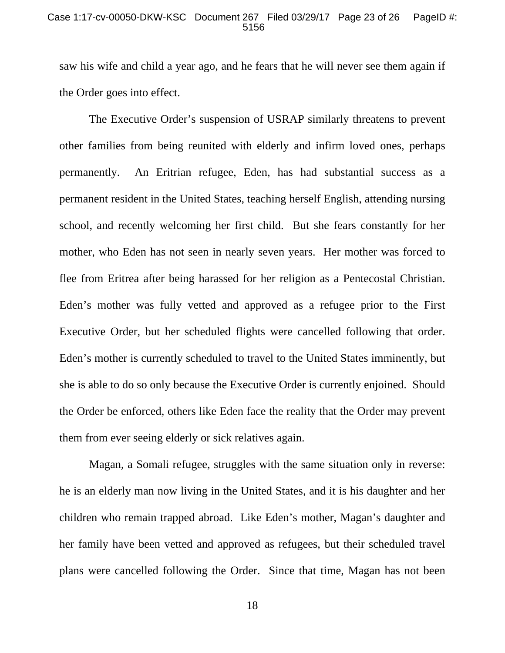### Case 1:17-cv-00050-DKW-KSC Document 267 Filed 03/29/17 Page 23 of 26 PageID #: 5156

saw his wife and child a year ago, and he fears that he will never see them again if the Order goes into effect.

 The Executive Order's suspension of USRAP similarly threatens to prevent other families from being reunited with elderly and infirm loved ones, perhaps permanently. An Eritrian refugee, Eden, has had substantial success as a permanent resident in the United States, teaching herself English, attending nursing school, and recently welcoming her first child. But she fears constantly for her mother, who Eden has not seen in nearly seven years. Her mother was forced to flee from Eritrea after being harassed for her religion as a Pentecostal Christian. Eden's mother was fully vetted and approved as a refugee prior to the First Executive Order, but her scheduled flights were cancelled following that order. Eden's mother is currently scheduled to travel to the United States imminently, but she is able to do so only because the Executive Order is currently enjoined. Should the Order be enforced, others like Eden face the reality that the Order may prevent them from ever seeing elderly or sick relatives again.

Magan, a Somali refugee, struggles with the same situation only in reverse: he is an elderly man now living in the United States, and it is his daughter and her children who remain trapped abroad. Like Eden's mother, Magan's daughter and her family have been vetted and approved as refugees, but their scheduled travel plans were cancelled following the Order. Since that time, Magan has not been

18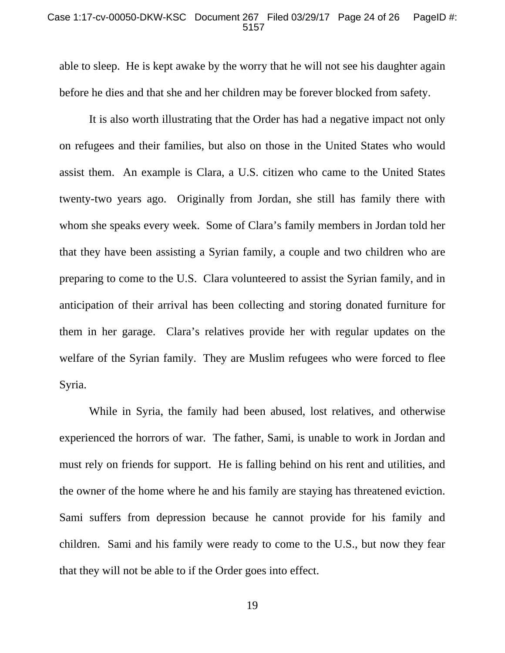### Case 1:17-cv-00050-DKW-KSC Document 267 Filed 03/29/17 Page 24 of 26 PageID #: 5157

able to sleep. He is kept awake by the worry that he will not see his daughter again before he dies and that she and her children may be forever blocked from safety.

It is also worth illustrating that the Order has had a negative impact not only on refugees and their families, but also on those in the United States who would assist them. An example is Clara, a U.S. citizen who came to the United States twenty-two years ago. Originally from Jordan, she still has family there with whom she speaks every week. Some of Clara's family members in Jordan told her that they have been assisting a Syrian family, a couple and two children who are preparing to come to the U.S. Clara volunteered to assist the Syrian family, and in anticipation of their arrival has been collecting and storing donated furniture for them in her garage. Clara's relatives provide her with regular updates on the welfare of the Syrian family. They are Muslim refugees who were forced to flee Syria.

While in Syria, the family had been abused, lost relatives, and otherwise experienced the horrors of war. The father, Sami, is unable to work in Jordan and must rely on friends for support. He is falling behind on his rent and utilities, and the owner of the home where he and his family are staying has threatened eviction. Sami suffers from depression because he cannot provide for his family and children. Sami and his family were ready to come to the U.S., but now they fear that they will not be able to if the Order goes into effect.

19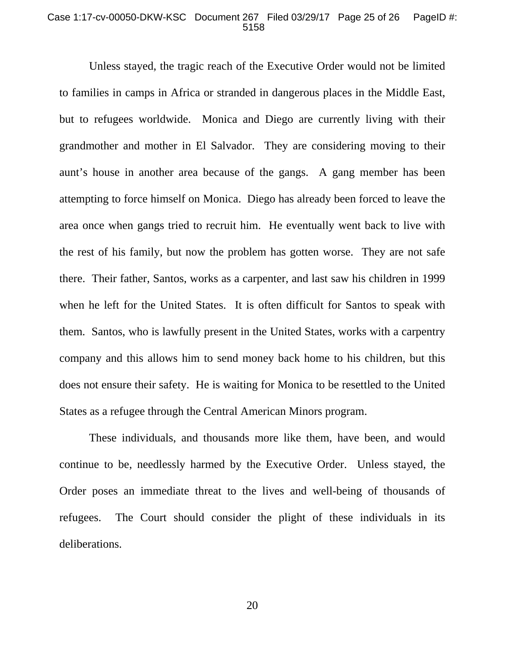### Case 1:17-cv-00050-DKW-KSC Document 267 Filed 03/29/17 Page 25 of 26 PageID #: 5158

Unless stayed, the tragic reach of the Executive Order would not be limited to families in camps in Africa or stranded in dangerous places in the Middle East, but to refugees worldwide. Monica and Diego are currently living with their grandmother and mother in El Salvador. They are considering moving to their aunt's house in another area because of the gangs. A gang member has been attempting to force himself on Monica. Diego has already been forced to leave the area once when gangs tried to recruit him. He eventually went back to live with the rest of his family, but now the problem has gotten worse. They are not safe there. Their father, Santos, works as a carpenter, and last saw his children in 1999 when he left for the United States. It is often difficult for Santos to speak with them. Santos, who is lawfully present in the United States, works with a carpentry company and this allows him to send money back home to his children, but this does not ensure their safety. He is waiting for Monica to be resettled to the United States as a refugee through the Central American Minors program.

 These individuals, and thousands more like them, have been, and would continue to be, needlessly harmed by the Executive Order. Unless stayed, the Order poses an immediate threat to the lives and well-being of thousands of refugees. The Court should consider the plight of these individuals in its deliberations.

20